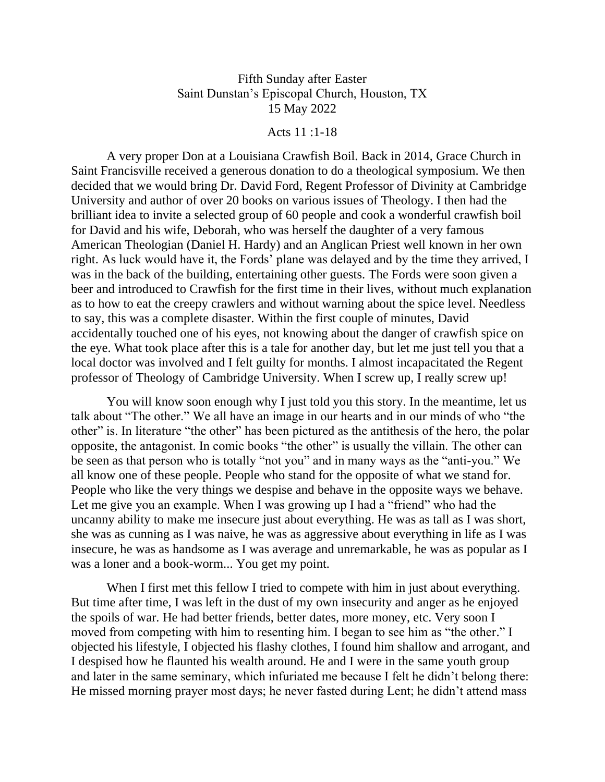## Fifth Sunday after Easter Saint Dunstan's Episcopal Church, Houston, TX 15 May 2022

## Acts 11 :1-18

A very proper Don at a Louisiana Crawfish Boil. Back in 2014, Grace Church in Saint Francisville received a generous donation to do a theological symposium. We then decided that we would bring Dr. David Ford, Regent Professor of Divinity at Cambridge University and author of over 20 books on various issues of Theology. I then had the brilliant idea to invite a selected group of 60 people and cook a wonderful crawfish boil for David and his wife, Deborah, who was herself the daughter of a very famous American Theologian (Daniel H. Hardy) and an Anglican Priest well known in her own right. As luck would have it, the Fords' plane was delayed and by the time they arrived, I was in the back of the building, entertaining other guests. The Fords were soon given a beer and introduced to Crawfish for the first time in their lives, without much explanation as to how to eat the creepy crawlers and without warning about the spice level. Needless to say, this was a complete disaster. Within the first couple of minutes, David accidentally touched one of his eyes, not knowing about the danger of crawfish spice on the eye. What took place after this is a tale for another day, but let me just tell you that a local doctor was involved and I felt guilty for months. I almost incapacitated the Regent professor of Theology of Cambridge University. When I screw up, I really screw up!

You will know soon enough why I just told you this story. In the meantime, let us talk about "The other." We all have an image in our hearts and in our minds of who "the other" is. In literature "the other" has been pictured as the antithesis of the hero, the polar opposite, the antagonist. In comic books "the other" is usually the villain. The other can be seen as that person who is totally "not you" and in many ways as the "anti-you." We all know one of these people. People who stand for the opposite of what we stand for. People who like the very things we despise and behave in the opposite ways we behave. Let me give you an example. When I was growing up I had a "friend" who had the uncanny ability to make me insecure just about everything. He was as tall as I was short, she was as cunning as I was naive, he was as aggressive about everything in life as I was insecure, he was as handsome as I was average and unremarkable, he was as popular as I was a loner and a book-worm... You get my point.

When I first met this fellow I tried to compete with him in just about everything. But time after time, I was left in the dust of my own insecurity and anger as he enjoyed the spoils of war. He had better friends, better dates, more money, etc. Very soon I moved from competing with him to resenting him. I began to see him as "the other." I objected his lifestyle, I objected his flashy clothes, I found him shallow and arrogant, and I despised how he flaunted his wealth around. He and I were in the same youth group and later in the same seminary, which infuriated me because I felt he didn't belong there: He missed morning prayer most days; he never fasted during Lent; he didn't attend mass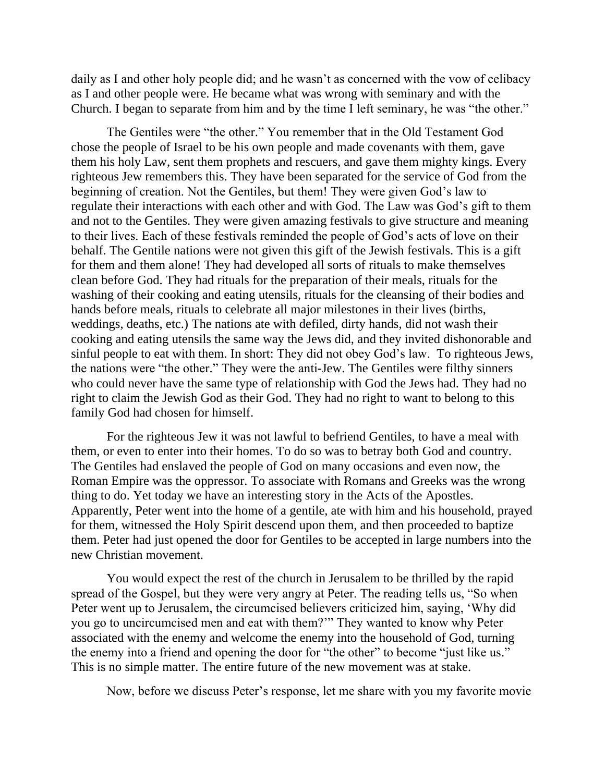daily as I and other holy people did; and he wasn't as concerned with the vow of celibacy as I and other people were. He became what was wrong with seminary and with the Church. I began to separate from him and by the time I left seminary, he was "the other."

The Gentiles were "the other." You remember that in the Old Testament God chose the people of Israel to be his own people and made covenants with them, gave them his holy Law, sent them prophets and rescuers, and gave them mighty kings. Every righteous Jew remembers this. They have been separated for the service of God from the beginning of creation. Not the Gentiles, but them! They were given God's law to regulate their interactions with each other and with God. The Law was God's gift to them and not to the Gentiles. They were given amazing festivals to give structure and meaning to their lives. Each of these festivals reminded the people of God's acts of love on their behalf. The Gentile nations were not given this gift of the Jewish festivals. This is a gift for them and them alone! They had developed all sorts of rituals to make themselves clean before God. They had rituals for the preparation of their meals, rituals for the washing of their cooking and eating utensils, rituals for the cleansing of their bodies and hands before meals, rituals to celebrate all major milestones in their lives (births, weddings, deaths, etc.) The nations ate with defiled, dirty hands, did not wash their cooking and eating utensils the same way the Jews did, and they invited dishonorable and sinful people to eat with them. In short: They did not obey God's law. To righteous Jews, the nations were "the other." They were the anti-Jew. The Gentiles were filthy sinners who could never have the same type of relationship with God the Jews had. They had no right to claim the Jewish God as their God. They had no right to want to belong to this family God had chosen for himself.

For the righteous Jew it was not lawful to befriend Gentiles, to have a meal with them, or even to enter into their homes. To do so was to betray both God and country. The Gentiles had enslaved the people of God on many occasions and even now, the Roman Empire was the oppressor. To associate with Romans and Greeks was the wrong thing to do. Yet today we have an interesting story in the Acts of the Apostles. Apparently, Peter went into the home of a gentile, ate with him and his household, prayed for them, witnessed the Holy Spirit descend upon them, and then proceeded to baptize them. Peter had just opened the door for Gentiles to be accepted in large numbers into the new Christian movement.

You would expect the rest of the church in Jerusalem to be thrilled by the rapid spread of the Gospel, but they were very angry at Peter. The reading tells us, "So when Peter went up to Jerusalem, the circumcised believers criticized him, saying, 'Why did you go to uncircumcised men and eat with them?'" They wanted to know why Peter associated with the enemy and welcome the enemy into the household of God, turning the enemy into a friend and opening the door for "the other" to become "just like us." This is no simple matter. The entire future of the new movement was at stake.

Now, before we discuss Peter's response, let me share with you my favorite movie